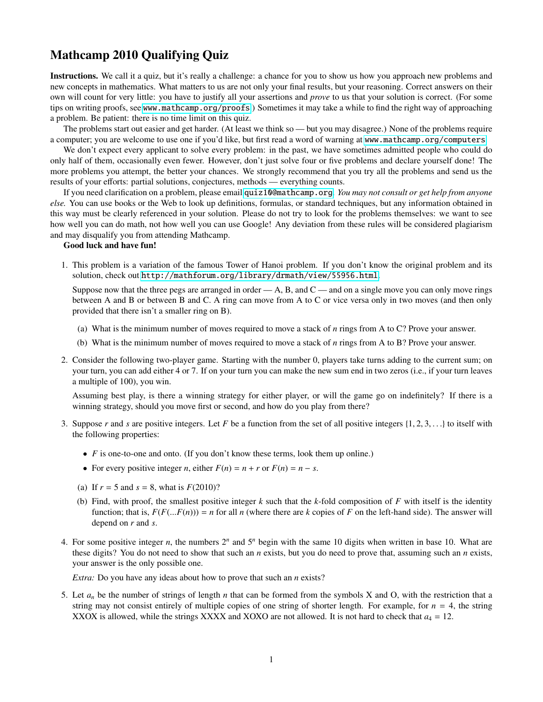## Mathcamp 2010 Qualifying Quiz

Instructions. We call it a quiz, but it's really a challenge: a chance for you to show us how you approach new problems and new concepts in mathematics. What matters to us are not only your final results, but your reasoning. Correct answers on their own will count for very little: you have to justify all your assertions and *prove* to us that your solution is correct. (For some tips on writing proofs, see [www.mathcamp.org/proofs](http://www.mathcamp.org/proofs).) Sometimes it may take a while to find the right way of approaching a problem. Be patient: there is no time limit on this quiz.

The problems start out easier and get harder. (At least we think so — but you may disagree.) None of the problems require a computer; you are welcome to use one if you'd like, but first read a word of warning at [www.mathcamp.org/computers](http://www.mathcamp.org/computers).

We don't expect every applicant to solve every problem: in the past, we have sometimes admitted people who could do only half of them, occasionally even fewer. However, don't just solve four or five problems and declare yourself done! The more problems you attempt, the better your chances. We strongly recommend that you try all the problems and send us the results of your efforts: partial solutions, conjectures, methods — everything counts.

If you need clarification on a problem, please email [quiz10@mathcamp.org](mailto:quiz10@mathcamp.org). *You may not consult or get help from anyone else.* You can use books or the Web to look up definitions, formulas, or standard techniques, but any information obtained in this way must be clearly referenced in your solution. Please do not try to look for the problems themselves: we want to see how well you can do math, not how well you can use Google! Any deviation from these rules will be considered plagiarism and may disqualify you from attending Mathcamp.

## Good luck and have fun!

1. This problem is a variation of the famous Tower of Hanoi problem. If you don't know the original problem and its solution, check out <http://mathforum.org/library/drmath/view/55956.html>.

Suppose now that the three pegs are arranged in order  $-A$ , B, and  $C$  — and on a single move you can only move rings between A and B or between B and C. A ring can move from A to C or vice versa only in two moves (and then only provided that there isn't a smaller ring on B).

- (a) What is the minimum number of moves required to move a stack of *n* rings from A to C? Prove your answer.
- (b) What is the minimum number of moves required to move a stack of *n* rings from A to B? Prove your answer.
- 2. Consider the following two-player game. Starting with the number 0, players take turns adding to the current sum; on your turn, you can add either 4 or 7. If on your turn you can make the new sum end in two zeros (i.e., if your turn leaves a multiple of 100), you win.

Assuming best play, is there a winning strategy for either player, or will the game go on indefinitely? If there is a winning strategy, should you move first or second, and how do you play from there?

- 3. Suppose *r* and *s* are positive integers. Let *F* be a function from the set of all positive integers  $\{1, 2, 3, \ldots\}$  to itself with the following properties:
	- *F* is one-to-one and onto. (If you don't know these terms, look them up online.)
	- For every positive integer *n*, either  $F(n) = n + r$  or  $F(n) = n s$ .
	- (a) If  $r = 5$  and  $s = 8$ , what is  $F(2010)$ ?
	- (b) Find, with proof, the smallest positive integer *k* such that the *k*-fold composition of *F* with itself is the identity function; that is,  $F(F(...F(n))) = n$  for all *n* (where there are *k* copies of *F* on the left-hand side). The answer will depend on *r* and *s*.
- 4. For some positive integer *n*, the numbers  $2^n$  and  $5^n$  begin with the same 10 digits when written in base 10. What are these digits? You do not need to show that such an *n* exists, but you do need to prove that, assuming such an *n* exists, your answer is the only possible one.

*Extra:* Do you have any ideas about how to prove that such an *n* exists?

5. Let  $a_n$  be the number of strings of length *n* that can be formed from the symbols X and O, with the restriction that a string may not consist entirely of multiple copies of one string of shorter length. For example, for  $n = 4$ , the string XXOX is allowed, while the strings XXXX and XOXO are not allowed. It is not hard to check that  $a_4 = 12$ .